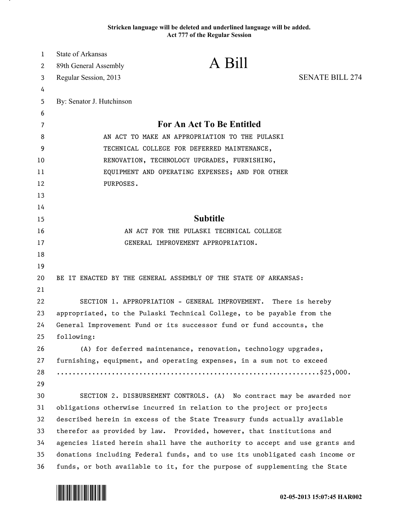## **Stricken language will be deleted and underlined language will be added. Act 777 of the Regular Session**

| $\mathbf{1}$ | <b>State of Arkansas</b>                                                     |                                                                              |                        |
|--------------|------------------------------------------------------------------------------|------------------------------------------------------------------------------|------------------------|
| 2            | 89th General Assembly                                                        | A Bill                                                                       |                        |
| 3            | Regular Session, 2013                                                        |                                                                              | <b>SENATE BILL 274</b> |
| 4            |                                                                              |                                                                              |                        |
| 5            | By: Senator J. Hutchinson                                                    |                                                                              |                        |
| 6            |                                                                              |                                                                              |                        |
| 7            | <b>For An Act To Be Entitled</b>                                             |                                                                              |                        |
| 8            | AN ACT TO MAKE AN APPROPRIATION TO THE PULASKI                               |                                                                              |                        |
| 9            | TECHNICAL COLLEGE FOR DEFERRED MAINTENANCE,                                  |                                                                              |                        |
| 10           | RENOVATION, TECHNOLOGY UPGRADES, FURNISHING,                                 |                                                                              |                        |
| 11           | EQUIPMENT AND OPERATING EXPENSES; AND FOR OTHER                              |                                                                              |                        |
| 12           | PURPOSES.                                                                    |                                                                              |                        |
| 13           |                                                                              |                                                                              |                        |
| 14           |                                                                              |                                                                              |                        |
| 15           |                                                                              | <b>Subtitle</b>                                                              |                        |
| 16           | AN ACT FOR THE PULASKI TECHNICAL COLLEGE                                     |                                                                              |                        |
| 17           |                                                                              | GENERAL IMPROVEMENT APPROPRIATION.                                           |                        |
| 18           |                                                                              |                                                                              |                        |
| 19           |                                                                              |                                                                              |                        |
| 20           | BE IT ENACTED BY THE GENERAL ASSEMBLY OF THE STATE OF ARKANSAS:              |                                                                              |                        |
| 21           |                                                                              |                                                                              |                        |
| 22           |                                                                              | SECTION 1. APPROPRIATION - GENERAL IMPROVEMENT.                              | There is hereby        |
| 23           | appropriated, to the Pulaski Technical College, to be payable from the       |                                                                              |                        |
| 24           | General Improvement Fund or its successor fund or fund accounts, the         |                                                                              |                        |
| 25           | following:                                                                   |                                                                              |                        |
| 26           |                                                                              | (A) for deferred maintenance, renovation, technology upgrades,               |                        |
| 27           |                                                                              | furnishing, equipment, and operating expenses, in a sum not to exceed        |                        |
| 28           |                                                                              |                                                                              |                        |
| 29           |                                                                              |                                                                              |                        |
| 30           |                                                                              | SECTION 2. DISBURSEMENT CONTROLS. (A) No contract may be awarded nor         |                        |
| 31           |                                                                              | obligations otherwise incurred in relation to the project or projects        |                        |
| 32           | described herein in excess of the State Treasury funds actually available    |                                                                              |                        |
| 33           | therefor as provided by law. Provided, however, that institutions and        |                                                                              |                        |
| 34           |                                                                              | agencies listed herein shall have the authority to accept and use grants and |                        |
| 35           | donations including Federal funds, and to use its unobligated cash income or |                                                                              |                        |
| 36           | funds, or both available to it, for the purpose of supplementing the State   |                                                                              |                        |



.